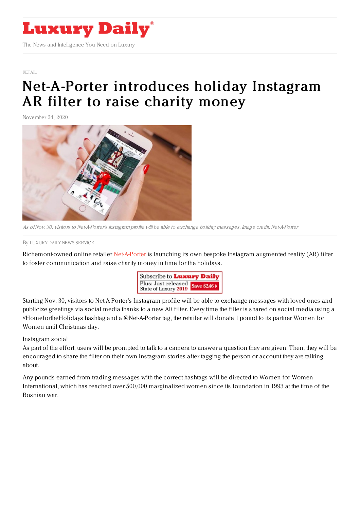

[RETAIL](https://www.luxurydaily.com/category/sectors/retail-industry-sectors/)

## [Net-A-Porter](https://www.luxurydaily.com/net-a-porter-unveils-holiday-instagram-ar-filter-to-raise-charity-money/) introduces holiday Instagram AR filter to raise charity money

November 24, 2020



As ofNov. 30, visitors to Net-A-Porter's Instagram profile will be able to exchange holiday messages. Image credit: Net-A-Porter

By LUXURY DAILY NEWS [SERVICE](file:///author/luxury-daily-news-service)

Richemont-owned online retailer [Net-A-Porter](https://www.net-a-porter.com/en-us/) is launching its own bespoke Instagram augmented reality (AR) filter to foster communication and raise charity money in time for the holidays.



Starting Nov. 30, visitors to Net-A-Porter's Instagram profile will be able to exchange messages with loved ones and publicize greetings via social media thanks to a new AR filter. Every time the filter is shared on social media using a #HomefortheHolidays hashtag and a @Net-A-Porter tag, the retailer will donate 1 pound to its partner Women for Women until Christmas day.

Instagram social

As part of the effort, users will be prompted to talk to a camera to answer a question they are given. Then, they will be encouraged to share the filter on their own Instagram stories after tagging the person or account they are talking about.

Any pounds earned from trading messages with the correct hashtags will be directed to Women for Women International, which has reached over 500,000 marginalized women since its foundation in 1993 at the time of the Bosnian war.